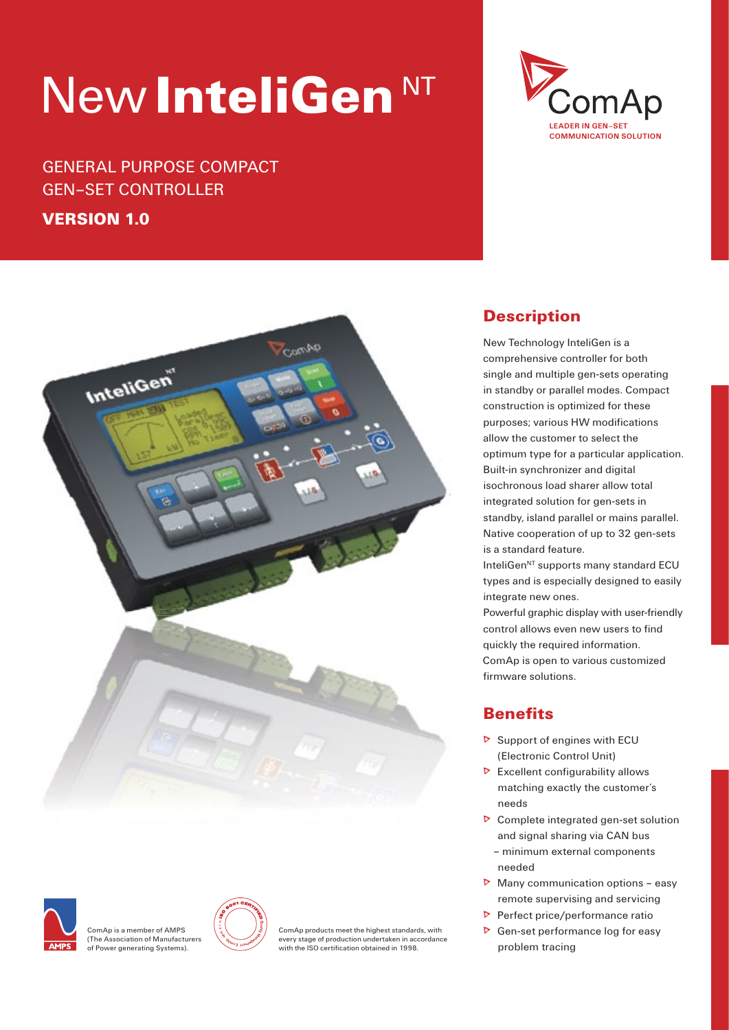# New InteliGen<sup>NT</sup>

## GENERAL PURPOSE COMPACT GEN–SET CONTROLLER

### VERSION 1.0





ComAp is a member of AMPS (The Association of Manufacturers of Power generating Systems).



ComAp products meet the highest standards, with every stage of production undertaken in accordance with the ISO certification obtained in 1998.

## **Description**

New Technology InteliGen is a comprehensive controller for both single and multiple gen-sets operating in standby or parallel modes. Compact construction is optimized for these purposes; various HW modifications allow the customer to select the optimum type for a particular application. Built-in synchronizer and digital isochronous load sharer allow total integrated solution for gen-sets in standby, island parallel or mains parallel. Native cooperation of up to 32 gen-sets is a standard feature. InteliGen<sup>NT</sup> supports many standard ECU types and is especially designed to easily

integrate new ones. Powerful graphic display with user-friendly control allows even new users to find quickly the required information. ComAp is open to various customized firmware solutions.

## **Benefits**

- Support of engines with ECU (Electronic Control Unit)
- $\triangleright$  Excellent configurability allows matching exactly the customer's needs
- **D** Complete integrated gen-set solution and signal sharing via CAN bus – minimum external components needed
- Many communication options easy remote supervising and servicing
- Perfect price/performance ratio
- $\triangleright$  Gen-set performance log for easy problem tracing

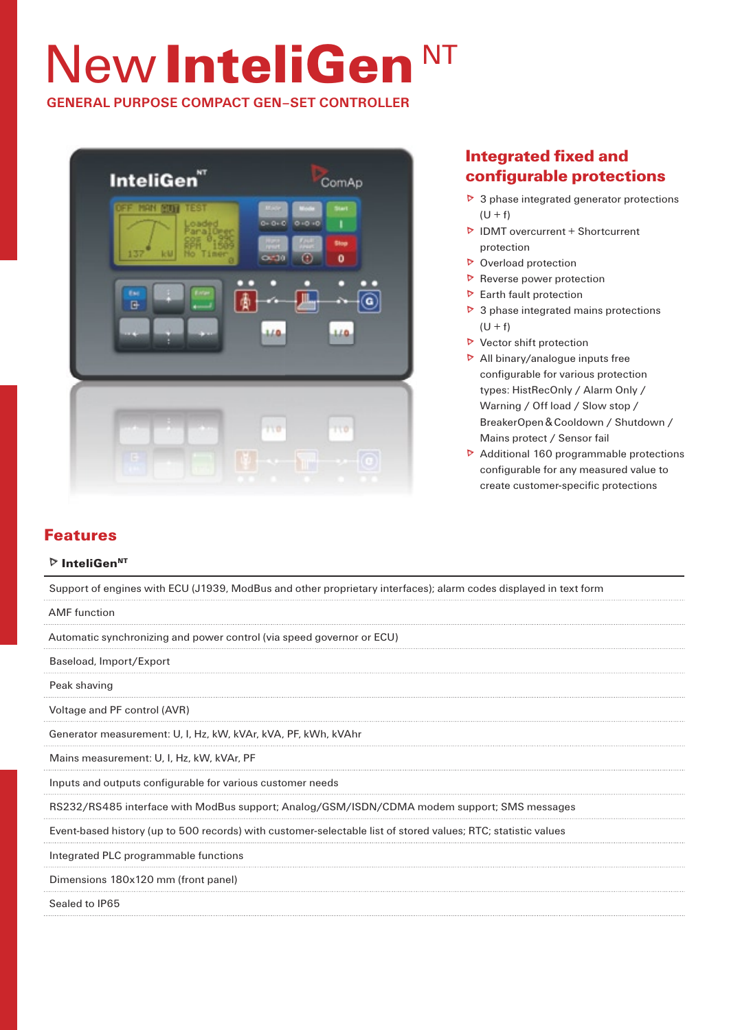# New InteliGen<sup>NT</sup>

**GENERAL PURPOSE COMPACT GEN–SET CONTROLLER**



## Integrated fixed and configurable protections

- $\triangleright$  3 phase integrated generator protections  $(U + f)$
- $\triangleright$  IDMT overcurrent + Shortcurrent protection
- D Overload protection
- $\triangleright$  Reverse power protection
- $\triangleright$  Earth fault protection
- $\triangleright$  3 phase integrated mains protections  $(U + f)$
- $\triangleright$  Vector shift protection
- $\triangleright$  All binary/analogue inputs free configurable for various protection types: HistRecOnly / Alarm Only / Warning / Off load / Slow stop / BreakerOpen & Cooldown / Shutdown / Mains protect / Sensor fail
- ▶ Additional 160 programmable protections configurable for any measured value to create customer-specific protections

## Features

#### $\triangleright$  InteliGen<sup>NT</sup>

Support of engines with ECU (J1939, ModBus and other proprietary interfaces); alarm codes displayed in text form

#### AMF function

Automatic synchronizing and power control (via speed governor or ECU)

Baseload, Import/Export

Peak shaving

Voltage and PF control (AVR)

Generator measurement: U, I, Hz, kW, kVAr, kVA, PF, kWh, kVAhr

Mains measurement: U, I, Hz, kW, kVAr, PF

Inputs and outputs configurable for various customer needs

RS232/RS485 interface with ModBus support; Analog/GSM/ISDN/CDMA modem support; SMS messages

Event-based history (up to 500 records) with customer-selectable list of stored values; RTC; statistic values

Integrated PLC programmable functions

Dimensions 180x120 mm (front panel)

Sealed to IP65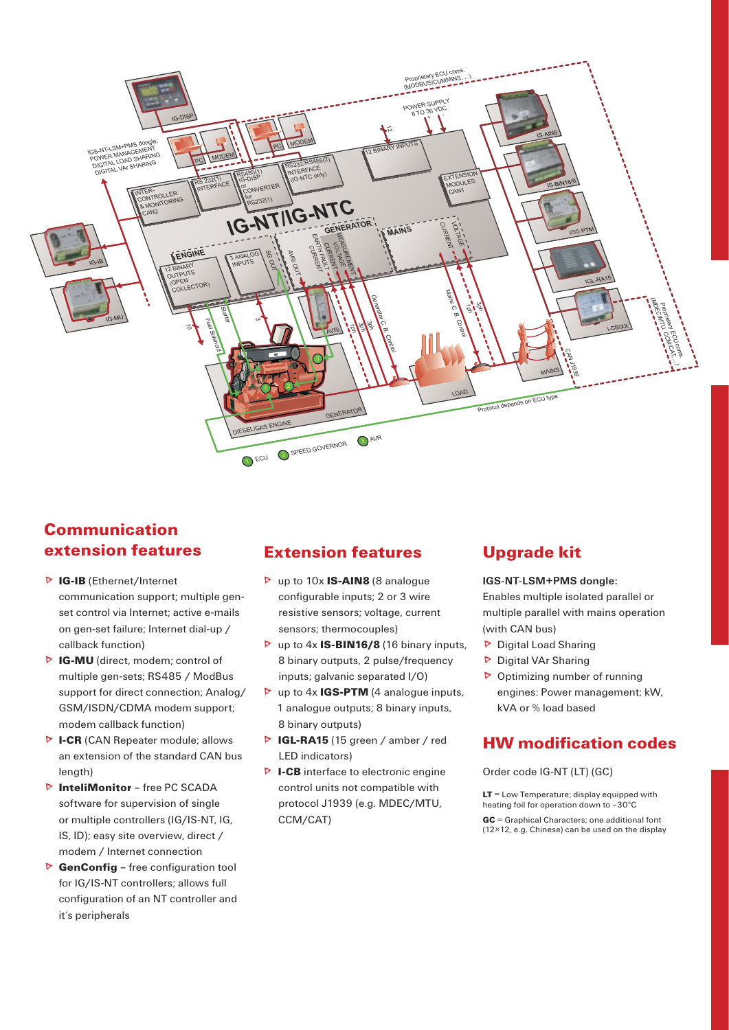

## **Communication** extension features

- **D** IG-IB (Ethernet/Internet communication support; multiple genset control via Internet: active e-mails on gen-set failure; Internet dial-up / callback function)
- D IG-MU (direct, modem; control of multiple gen-sets; RS485 / ModBus support for direct connection; Analog/ GSM/ISDN/CDMA modem support: modem callback function)
- D I-CR (CAN Repeater module; allows an extension of the standard CAN bus length)
- **D** InteliMonitor free PC SCADA software for supervision of single or multiple controllers (IG/IS-NT, IG, IS, ID); easy site overview, direct / modem / Internet connection
- ▶ GenConfig free configuration tool for IG/IS-NT controllers; allows full configuration of an NT controller and it's peripherals

## **Extension features**

- $\triangleright$  up to 10x **IS-AIN8** (8 analogue configurable inputs; 2 or 3 wire resistive sensors: voltage, current sensors; thermocouples)
- $\triangleright$  up to 4x **IS-BIN16/8** (16 binary inputs, 8 binary outputs, 2 pulse/frequency inputs; galvanic separated I/O)
- $\triangleright$  up to 4x **IGS-PTM** (4 analogue inputs, 1 analogue outputs; 8 binary inputs, 8 binary outputs)
- D IGL-RA15 (15 green / amber / red LED indicators)
- D I-CB interface to electronic engine control units not compatible with protocol J1939 (e.g. MDEC/MTU, CCM/CAT)

## **Upgrade kit**

#### IGS-NT-LSM+PMS dongle:

Enables multiple isolated parallel or multiple parallel with mains operation (with CAN bus)

- Digital Load Sharing
- Digital VAr Sharing
- $\triangleright$  Optimizing number of running engines: Power management; kW, kVA or % load based

### **HW modification codes**

Order code IG-NT (LT) (GC)

 $LT =$  Low Temperature; display equipped with heating foil for operation down to -30°C

GC = Graphical Characters; one additional font (12×12, e.g. Chinese) can be used on the display